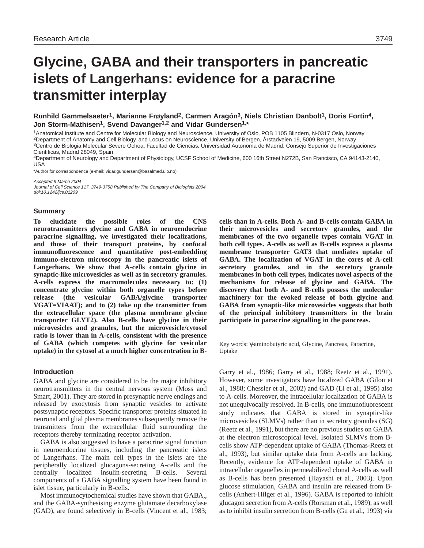# **Glycine, GABA and their transporters in pancreatic islets of Langerhans: evidence for a paracrine transmitter interplay**

**Runhild Gammelsaeter1, Marianne Frøyland2, Carmen Aragón3, Niels Christian Danbolt1, Doris Fortin4, Jon Storm-Mathisen1, Svend Davanger1,2 and Vidar Gundersen1,\***

1Anatomical Institute and Centre for Molecular Biology and Neuroscience, University of Oslo, POB 1105 Blindern, N-0317 Oslo, Norway 2Department of Anatomy and Cell Biology, and Locus on Neuroscience, University of Bergen, Årstadveien 19, 5009 Bergen, Norway <sup>3</sup>Centro de Biologia Molecular Severo Ochoa, Facultad de Ciencias, Universidad Autonoma de Madrid, Consejo Superior de Investigaciones Cientificas, Madrid 28049, Spain

4Department of Neurology and Department of Physiology, UCSF School of Medicine, 600 16th Street N272B, San Francisco, CA 94143-2140, USA

\*Author for correspondence (e-mail: vidar.gundersen@basalmed.uio.no)

Accepted 9 March 2004

Journal of Cell Science 117, 3749-3758 Published by The Company of Biologists 2004 doi:10.1242/jcs.01209

#### **Summary**

**To elucidate the possible roles of the CNS neurotransmitters glycine and GABA in neuroendocrine paracrine signalling, we investigated their localizations, and those of their transport proteins, by confocal immunofluorescence and quantitative post-embedding immuno-electron microscopy in the pancreatic islets of Langerhans. We show that A-cells contain glycine in synaptic-like microvesicles as well as in secretory granules. A-cells express the macromolecules necessary to: (1) concentrate glycine within both organelle types before release (the vesicular GABA/glycine transporter VGAT=VIAAT); and to (2) take up the transmitter from the extracellular space (the plasma membrane glycine transporter GLYT2). Also B-cells have glycine in their microvesicles and granules, but the microvesicle/cytosol ratio is lower than in A-cells, consistent with the presence of GABA (which competes with glycine for vesicular uptake) in the cytosol at a much higher concentration in B-**

### **Introduction**

GABA and glycine are considered to be the major inhibitory neurotransmitters in the central nervous system (Moss and Smart, 2001). They are stored in presynaptic nerve endings and released by exocytosis from synaptic vesicles to activate postsynaptic receptors. Specific transporter proteins situated in neuronal and glial plasma membranes subsequently remove the transmitters from the extracellular fluid surrounding the receptors thereby terminating receptor activation.

GABA is also suggested to have a paracrine signal function in neuroendocrine tissues, including the pancreatic islets of Langerhans. The main cell types in the islets are the peripherally localized glucagons-secreting A-cells and the centrally localized insulin-secreting B-cells. Several components of a GABA signalling system have been found in islet tissue, particularly in B-cells.

Most immunocytochemical studies have shown that GABA,, and the GABA-synthesising enzyme glutamate decarboxylase (GAD), are found selectively in B-cells (Vincent et al., 1983; **cells than in A-cells. Both A- and B-cells contain GABA in their microvesicles and secretory granules, and the membranes of the two organelle types contain VGAT in both cell types. A-cells as well as B-cells express a plasma membrane transporter GAT3 that mediates uptake of GABA. The localization of VGAT in the cores of A-cell secretory granules, and in the secretory granule membranes in both cell types, indicates novel aspects of the mechanisms for release of glycine and GABA. The discovery that both A- and B-cells possess the molecular machinery for the evoked release of both glycine and GABA from synaptic-like microvesicles suggests that both of the principal inhibitory transmitters in the brain participate in paracrine signalling in the pancreas.**

Key words: γ-aminobutyric acid, Glycine, Pancreas, Paracrine, Uptake

Garry et al., 1986; Garry et al., 1988; Reetz et al., 1991). However, some investigators have localized GABA (Gilon et al., 1988; Chessler et al., 2002) and GAD (Li et al., 1995) also to A-cells. Moreover, the intracellular localization of GABA is not unequivocally resolved. In B-cells, one immunofluorescent study indicates that GABA is stored in synaptic-like microvesicles (SLMVs) rather than in secretory granules (SG) (Reetz et al., 1991), but there are no previous studies on GABA at the electron microscopical level. Isolated SLMVs from Bcells show ATP-dependent uptake of GABA (Thomas-Reetz et al., 1993), but similar uptake data from A-cells are lacking. Recently, evidence for ATP-dependent uptake of GABA in intracellular organelles in permeabilized clonal A-cells as well as B-cells has been presented (Hayashi et al., 2003). Upon glucose stimulation, GABA and insulin are released from Bcells (Anhert-Hilger et al., 1996). GABA is reported to inhibit glucagon secretion from A-cells (Rorsman et al., 1989), as well as to inhibit insulin secretion from B-cells (Gu et al., 1993) via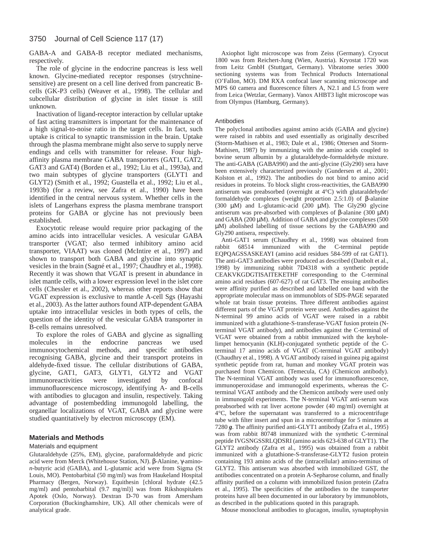GABA-A and GABA-B receptor mediated mechanisms, respectively.

The role of glycine in the endocrine pancreas is less well known. Glycine-mediated receptor responses (strychninesensitive) are present on a cell line derived from pancreatic Bcells (GK-P3 cells) (Weaver et al., 1998). The cellular and subcellular distribution of glycine in islet tissue is still unknown.

Inactivation of ligand-receptor interaction by cellular uptake of fast acting transmitters is important for the maintenance of a high signal-to-noise ratio in the target cells. In fact, such uptake is critical to synaptic transmission in the brain. Uptake through the plasma membrane might also serve to supply nerve endings and cells with transmitter for release. Four highaffinity plasma membrane GABA transporters (GAT1, GAT2, GAT3 and GAT4) (Borden et al., 1992; Liu et al., 1993a), and two main subtypes of glycine transporters (GLYT1 and GLYT2) (Smith et al., 1992; Guastella et al., 1992; Liu et al., 1993b) (for a review, see Zafra et al., 1990) have been identified in the central nervous system. Whether cells in the islets of Langerhans express the plasma membrane transport proteins for GABA or glycine has not previously been established.

Exocytotic release would require prior packaging of the amino acids into intracellular vesicles. A vesicular GABA transporter (VGAT; also termed inhibitory amino acid transporter, VIAAT) was cloned (McIntire et al., 1997) and shown to transport both GABA and glycine into synaptic vesicles in the brain (Sagné et al., 1997; Chaudhry et al., 1998). Recently it was shown that VGAT is present in abundance in islet mantle cells, with a lower expression level in the islet core cells (Chessler et al., 2002), whereas other reports show that VGAT expression is exclusive to mantle A-cell Sgs (Hayashi et al., 2003). As the latter authors found ATP-dependent GABA uptake into intracellular vesicles in both types of cells, the question of the identity of the vesicular GABA transporter in B-cells remains unresolved.

To explore the roles of GABA and glycine as signalling molecules in the endocrine pancreas we used immunocytochemical methods, and specific antibodies recognising GABA, glycine and their transport proteins in aldehyde-fixed tissue. The cellular distributions of GABA, glycine, GAT1, GAT3, GLYT1, GLYT2 and VGAT immunoreactivities were investigated by confocal immunofluorescence microscopy, identifying A- and B-cells with antibodies to glucagon and insulin, respectively. Taking advantage of postembedding immunogold labelling, the organellar localizations of VGAT, GABA and glycine were studied quantitatively by electron microscopy (EM).

# **Materials and Methods**

## Materials and equipment

Glutaraldehyde (25%, EM), glycine, paraformaldehyde and picric acid were from Merck (Whitehouse Station, NJ). β-Alanine, γ-amino*n*-butyric acid (GABA), and L-glutamic acid were from Sigma (St Louis, MO). Pentobarbital (50 mg/ml) was from Haukeland Hospital Pharmacy (Bergen, Norway). Equithesin [chloral hydrate (42.5 mg/ml) and pentobarbital (9.7 mg/ml)] was from Rikshospitalets Apotek (Oslo, Norway). Dextran D-70 was from Amersham Corporation (Buckinghamshire, UK). All other chemicals were of analytical grade.

Axiophot light microscope was from Zeiss (Germany). Cryocut 1800 was from Reichert-Jung (Wien, Austria). Kryostat 1720 was from Leitz GmbH (Stuttgart, Germany). Vibratome series 3000 sectioning systems was from Technical Products International (O'Fallon, MO). DM RXA confocal laser scanning microscope and MPS 60 camera and fluorescence filters A, N2.1 and L5 from were from Leica (Wetzlar, Germany). Vanox AHBT3 light microscope was from Olympus (Hamburg, Germany).

### Antibodies

The polyclonal antibodies against amino acids (GABA and glycine) were raised in rabbits and used essentially as originally described (Storm-Mathisen et al., 1983; Dale et al., 1986; Ottersen and Storm-Mathisen, 1987) by immunizing with the amino acids coupled to bovine serum albumin by a glutaraldehyde-formaldehyde mixture. The anti-GABA (GABA990) and the anti-glycine (Gly290) sera have been extensively characterized previously (Gundersen et al., 2001; Kolston et al., 1992). The antibodies do not bind to amino acid residues in proteins. To block slight cross-reactivities, the GABA990 antiserum was preabsorbed (overnight at 4°C) with glutaraldehyde/ formaldehyde complexes (weight proportion 2.5:1.0) of β-alanine (300 µM) and L-glutamic-acid (200 µM). The Gly290 glycine antiserum was pre-absorbed with complexes of β-alanine (300 µM) and GABA (200 µM). Addition of GABA and glycine complexes (500 µM) abolished labelling of tissue sections by the GABA990 and Gly290 antisera, respectively.

Anti-GAT1 serum (Chaudhry et al., 1998) was obtained from rabbit 68514 immunized with the C-terminal peptide EQPQAGSSASKEAYI (amino acid residues 584-599 of rat GAT1). The anti-GAT3 antibodies were produced as described (Danbolt et al., 1998) by immunizing rabbit 7D4318 with a synthetic peptide CEAKVKGDGTISAITEKETHF corresponding to the C-terminal amino acid residues (607-627) of rat GAT3. The ensuing antibodies were affinity purified as described and labelled one band with the appropriate molecular mass on immunoblots of SDS-PAGE separated whole rat brain tissue proteins. Three different antibodies against different parts of the VGAT protein were used. Antibodies against the N-terminal 99 amino acids of VGAT were raised in a rabbit immunized with a glutathione-S-transferase-VGAT fusion protein (Nterminal VGAT antibody), and antibodies against the C-terminal of VGAT were obtained from a rabbit immunized with the keyholelimpet hemocyanin (KLH)-conjugated synthetic peptide of the Cterminal 17 amino acids of VGAT (C-terminal VGAT antibody) (Chaudhry et al., 1998). A VGAT antibody raised in guinea pig against synthetic peptide from rat, human and monkey VGAT protein was purchased from Chemicon. (Temecula, CA) (Chemicon antibody). The N-terminal VGAT antibody was used for immunofluorescence, immunoperoxidase and immunogold experiments, whereas the Cterminal VGAT antibody and the Chemicon antibody were used only in immunogold experiments. The N-terminal VGAT anti-serum was preabsorbed with rat liver acetone powder (40 mg/ml) overnight at 4°C, before the supernatant was transferred to a microcentrifuge tube with filter insert and spun in a microcentrifuge for 5 minutes at 7280 *g*. The affinity purified anti-GLYT1 antibody (Zafra et al., 1995) was from rabbit 80748 immunized with the synthetic C-terminal peptide IVGSNGSSRLQDSRI (amino acids 623-638 of GLYT1). The GLYT2 antibody (Zafra et al., 1995) was obtained from a rabbit immunized with a glutathione-S-transferase-GLYT2 fusion protein containing 193 amino acids of the (intracellular) amino-terminus of GLYT2. This antiserum was absorbed with immobilized GST, the antibodies concentrated on a protein A-Sepharose column, and finally affinity purified on a column with immobilized fusion protein (Zafra et al., 1995). The specificities of the antibodies to the transporter proteins have all been documented in our laboratory by immunoblots, as described in the publications quoted in this paragraph.

Mouse monoclonal antibodies to glucagon, insulin, synaptophysin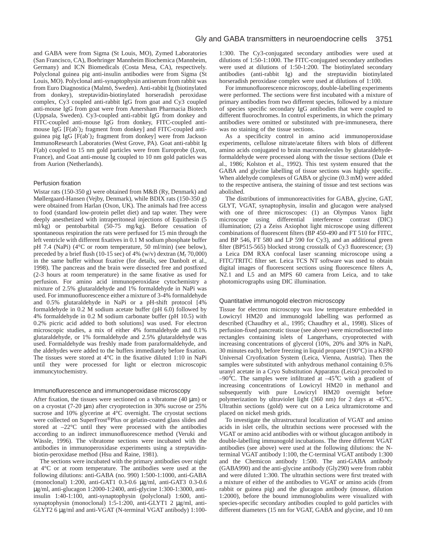and GABA were from Sigma (St Louis, MO), Zymed Laboratories (San Francisco, CA), Boehringer Mannheim Biochemica (Mannheim, Germany) and ICN Biomedicals (Costa Mesa, CA), respectively. Polyclonal guinea pig anti-insulin antibodies were from Sigma (St Louis, MO). Polyclonal anti-synaptophysin antiserum from rabbit was from Euro Diagnostica (Malmö, Sweden). Anti-rabbit Ig (biotinylated from donkey), streptavidin-biotinylated horseradish peroxidase complex, Cy3 coupled anti-rabbit IgG from goat and Cy3 coupled anti-mouse IgG from goat were from Amersham Pharmacia Biotech (Uppsala, Sweden). Cy3-coupled anti-rabbit IgG from donkey and FITC-coupled anti-mouse IgG from donkey, FITC-coupled antimouse IgG [F(ab′)2 fragment from donkey] and FITC-coupled antiguinea pig IgG [F(ab′)2 fragment from donkey] were from Jackson ImmunoResearch Laboratories (West Grove, PA). Goat anti-rabbit Ig F(ab) coupled to 15 nm gold particles were from Europrobe (Lyon, France), and Goat anti-mouse Ig coupled to 10 nm gold paticles was from Aurion (Netherlands).

### Perfusion fixation

Wistar rats (150-350 g) were obtained from M&B (Ry, Denmark) and Møllergaard-Hansen (Vejby, Denmark), while BDIX rats (150-350 g) were obtained from Harlan (Oxon, UK). The animals had free access to food (standard low-protein pellet diet) and tap water. They were deeply anesthetized with intraperitoneal injections of Equithesin (5 ml/kg) or pentobarbital (50-75 mg/kg). Before cessation of spontaneous respiration the rats were perfused for 15 min through the left ventricle with different fixatives in 0.1 M sodium phosphate buffer pH 7.4 (NaPi) (4°C or room temperature, 50 ml/min) (see below), preceded by a brief flush (10-15 sec) of 4% (w/v) dextran  $(M_r 70,000)$ in the same buffer without fixative (for details, see Danbolt et al., 1998). The pancreas and the brain were dissected free and postfixed (2-3 hours at room temperature) in the same fixative as used for perfusion. For amino acid immunoperoxidase cytochemistry a mixture of 2.5% glutaraldehyde and 1% formaldehyde in NaPi was used. For immunofluorescence either a mixture of 3-4% formaldehyde and 0.5% glutaraldehyde in NaPi or a pH-shift protocol [4% formaldehyde in 0.2 M sodium acetate buffer (pH 6.0) followed by 4% formaldehyde in 0.2 M sodium carbonate buffer (pH 10.5) with 0.2% picric acid added to both solutions] was used. For electron microscopic studies, a mix of either 4% formaldehyde and 0.1% glutaraldehyde, or 1% formaldehyde and 2.5% glutaraldehyde was used. Formaldehyde was freshly made from paraformaldehyde, and the aldehydes were added to the buffers immediately before fixation. The tissues were stored at 4°C in the fixative diluted 1:10 in NaPi until they were processed for light or electron microscopic immuncytochemistry.

#### Immunofluorescence and immunoperoxidase microscopy

After fixation, the tissues were sectioned on a vibratome  $(40 \mu m)$  or on a cryostat (7-20 µm) after cryoprotection in 30% sucrose or 25% sucrose and 10% glycerine at 4°C overnight. The cryostat sections were collected on SuperFrost®Plus or gelatin-coated glass slides and stored at  $-22^{\circ}$ C until they were processed with the antibodies according to an indirect immunofluorescence method (Veruki and Wässle, 1996). The vibratome sections were incubated with the antibodies in immunoperoxidase experiments using a streptavidinbiotin-peroxidase method (Hsu and Raine, 1981).

The sections were incubated with the primary antibodies over night at 4°C or at room temperature. The antibodies were used at the following dilutions: anti-GABA (no. 990) 1:500-1:1000, anti-GABA (monoclonal) 1:200, anti-GAT1 0.3-0.6 µg/ml, anti-GAT3 0.3-0.6 µg/ml, anti-glucagon 1:2000-1:2400, anti-glycine 1:300-1:3000, antiinsulin 1:40-1:100, anti-synaptophysin (polyclonal) 1:600, antisynaptophysin (monoclonal) 1:5-1:200, anti-GLYT1 2 µg/ml, anti-GLYT2 6 µg/ml and anti-VGAT (N-terminal VGAT antibody) 1:100-

1:300. The Cy3-conjugated secondary antibodies were used at dilutions of 1:50-1:1000. The FITC-conjugated secondary antibodies were used at dilutions of 1:50-1:200. The biotinylated secondary antibodies (anti-rabbit Ig) and the streptavidin biotinylated horseradish peroxidase complex were used at dilutions of 1:100.

For immunofluorescence microscopy, double-labelling experiments were performed. The sections were first incubated with a mixture of primary antibodies from two different species, followed by a mixture of species specific secondary IgG antibodies that were coupled to different fluorochromes. In control experiments, in which the primary antibodies were omitted or substituted with pre-immunesera, there was no staining of the tissue sections.

As a specificity control in amino acid immunoperoxidase experiments, cellulose nitrate/acetate filters with blots of different amino acids conjugated to brain macromolecules by glutaraldehydeformaldehyde were processed along with the tissue sections (Dale et al., 1986; Kolston et al., 1992). This test system ensured that the GABA and glycine labelling of tissue sections was highly specific. When aldehyde complexes of GABA or glycine (0.3 mM) were added to the respective antisera, the staining of tissue and test sections was abolished.

The distributions of immunoreactivities for GABA, glycine, GAT, GLYT, VGAT, synaptophysin, insulin and glucagon were analysed with one of three microscopes: (1) an Olympus Vanox light microscope using differential interference contrast (DIC) illumination; (2) a Zeiss Axiophot light microscope using different combinations of fluorescent filters (BP 450-490 and FT 510 for FITC, and BP 546, FT 580 and LP 590 for Cy3), and an additional green filter (BP515-565) blocked strong crosstalk of Cy3 fluorescence; (3) a Leica DM RXA confocal laser scanning microscope using a FITC/TRITC filter set. Leica TCS NT software was used to obtain digital images of fluorescent sections using fluorescence filters A, N2.1 and L5 and an MPS 60 camera from Leica, and to take photomicrographs using DIC illumination.

#### Quantitative immunogold electron microscopy

Tissue for electron microscopy was low temperature embedded in Lowicryl HM20 and immunogold labelling was performed as described (Chaudhry et al., 1995; Chaudhry et al., 1998). Slices of perfusion-fixed pancreatic tissue (see above) were microdissected into rectangles containing islets of Langerhans, cryoprotected with increasing concentrations of glycerol (10%, 20% and 30% in NaPi, 30 minutes each), before freezing in liquid propane (190°C) in a KF80 Universal Cryofixation System (Leica, Vienna, Austria). Then the samples were substituted with anhydrous methanol containing 0.5% uranyl acetate in a Cryo Substitution Apparatus (Leica) precooled to –90 $^{\circ}$ C. The samples were infiltrated at –45 $^{\circ}$ C with a gradient of increasing concentrations of Lowicryl HM20 in methanol and subsequently with pure Lowicryl HM20 overnight before polymerization by ultraviolet light (360 nm) for 2 days at -45°C. Ultrathin sections (gold) were cut on a Leica ultramicrotome and placed on nickel mesh grids.

To investigate the ultrastructural localization of VGAT and amino acids in islet cells, the ultrathin sections were processed with the VGAT or amino acid antibodies with or without glucagon antibody in double-labelling immunogold incubations. The three different VGAT antibodies (see above) were used at the following dilutions: the Nterminal VGAT antibody 1:100, the C-terminal VGAT antibody 1:300 and the Chemicon antibody 1:500. The anti-GABA antibody (GABA990) and the anti-glycine antibody (Gly290) were from rabbit and were diluted 1:300. The ultrathin sections were first treated with a mixture of either of the antibodies to VGAT or amino acids (from rabbit or guinea pig) and the glucagon antibody (mouse, dilution 1:2000), before the bound immunoglobulins were visualized with species-specific secondary antibodies coupled to gold particles with different diameters (15 nm for VGAT, GABA and glycine, and 10 nm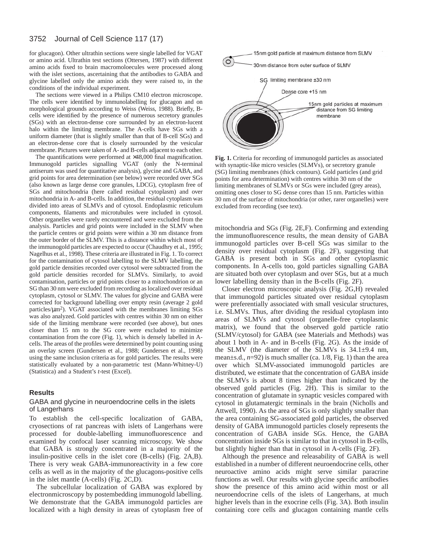for glucagon). Other ultrathin sections were single labelled for VGAT or amino acid. Ultrathin test sections (Ottersen, 1987) with different amino acids fixed to brain macromoloecules were processed along with the islet sections, ascertaining that the antibodies to GABA and glycine labelled only the amino acids they were raised to, in the conditions of the individual experiment.

The sections were viewed in a Philips CM10 electron microscope. The cells were identified by immunolabelling for glucagon and on morphological grounds according to Weiss (Weiss, 1988). Briefly, Bcells were identified by the presence of numerous secretory granules (SGs) with an electron-dense core surrounded by an electron-lucent halo within the limiting membrane. The A-cells have SGs with a uniform diameter (that is slightly smaller than that of B-cell SGs) and an electron-dense core that is closely surrounded by the vesicular membrane. Pictures were taken of A- and B-cells adjacent to each other.

The quantifications were performed at  $\times$ 48,000 final magnification. Immunogold particles signalling VGAT (only the N-terminal antiserum was used for quantitative analysis), glycine and GABA, and grid points for area determination (see below) were recorded over SGs (also known as large dense core granules, LDCG), cytoplasm free of SGs and mitochondria (here called residual cytoplasm) and over mitochondria in A- and B-cells. In addition, the residual cytoplasm was divided into areas of SLMVs and of cytosol. Endoplasmic reticulum components, filaments and microtubules were included in cytosol. Other organelles were rarely encountered and were excluded from the analysis. Particles and grid points were included in the SLMV when the particle centres or grid points were within a 30 nm distance from the outer border of the SLMV. This is a distance within which most of the immunogold particles are expected to occur (Chaudhry et al., 1995; Nagelhus et al., 1998). These criteria are illustrated in Fig. 1. To correct for the contamination of cytosol labelling to the SLMV labelling, the gold particle densities recorded over cytosol were subtracted from the gold particle densities recorded for SLMVs. Similarly, to avoid contamination, particles or grid points closer to a mitochondrion or an SG than 30 nm were excluded from recording as localized over residual cytoplasm, cytosol or SLMV. The values for glycine and GABA were corrected for background labelling over empty resin (average 2 gold particles/ $\mu$ m<sup>2</sup>). VGAT associated with the membranes limiting SGs was also analyzed. Gold particles with centres within 30 nm on either side of the limiting membrane were recorded (see above), but ones closer than 15 nm to the SG core were excluded to minimize contamination from the core (Fig. 1), which is densely labelled in Acells. The areas of the profiles were determined by point counting using an overlay screen (Gundersen et al., 1988; Gundersen et al., 1998) using the same inclusion criteria as for gold particles. The results were statistically evaluated by a non-parametric test (Mann-Whitney-U) (Statistica) and a Student's *t*-test (Excel).

# **Results**

### GABA and glycine in neuroendocrine cells in the islets of Langerhans

To establish the cell-specific localization of GABA, cryosections of rat pancreas with islets of Langerhans were processed for double-labelling immunofluorescence and examined by confocal laser scanning microscopy. We show that GABA is strongly concentrated in a majority of the insulin-positive cells in the islet core (B-cells) (Fig. 2A,B). There is very weak GABA-immunoreactivity in a few core cells as well as in the majority of the glucagons-positive cells in the islet mantle (A-cells) (Fig. 2C,D).

The subcellular localization of GABA was explored by electronmicroscopy by postembedding immunogold labelling. We demonstrate that the GABA immunogold particles are localized with a high density in areas of cytoplasm free of



**Fig. 1.** Criteria for recording of immunogold particles as associated with synaptic-like micro vesicles (SLMVs), or secretory granule (SG) limiting membranes (thick contours). Gold particles (and grid points for area determination) with centres within 30 nm of the limiting membranes of SLMVs or SGs were included (grey areas), omitting ones closer to SG dense cores than 15 nm. Particles within 30 nm of the surface of mitochondria (or other, rarer organelles) were excluded from recording (see text).

mitochondria and SGs (Fig. 2E,F). Confirming and extending the immunofluorescence results, the mean density of GABA immunogold particles over B-cell SGs was similar to the density over residual cytoplasm (Fig. 2F), suggesting that GABA is present both in SGs and other cytoplasmic components. In A-cells too, gold particles signalling GABA are situated both over cytoplasm and over SGs, but at a much lower labelling density than in the B-cells (Fig. 2F).

Closer electron microscopic analysis (Fig. 2G,H) revealed that immunogold particles situated over residual cytoplasm were preferentially associated with small vesicular structures, i.e. SLMVs. Thus, after dividing the residual cytoplasm into areas of SLMVs and cytosol (organelle-free cytoplasmic matrix), we found that the observed gold particle ratio (SLMV/cytosol) for GABA (see Materials and Methods) was about 1 both in A- and in B-cells (Fig. 2G). As the inside of the SLMV (the diameter of the SLMVs is 34.1±9.4 nm, mean±s.d., *n*=92) is much smaller (ca. 1/8, Fig. 1) than the area over which SLMV-associated immunogold particles are distributed, we estimate that the concentration of GABA inside the SLMVs is about 8 times higher than indicated by the observed gold particles (Fig. 2H). This is similar to the concentration of glutamate in synaptic vesicles compared with cytosol in glutamatergic terminals in the brain (Nicholls and Attwell, 1990). As the area of SGs is only slightly smaller than the area containing SG-associated gold particles, the observed density of GABA immunogold particles closely represents the concentration of GABA inside SGs. Hence, the GABA concentration inside SGs is similar to that in cytosol in B-cells, but slightly higher than that in cytosol in A-cells (Fig. 2F).

Although the presence and releasability of GABA is well established in a number of different neuroendocrine cells, other neuroactive amino acids might serve similar paracrine functions as well. Our results with glycine specific antibodies show the presence of this amino acid within most or all neuroendocrine cells of the islets of Langerhans, at much higher levels than in the exocrine cells (Fig. 3A). Both insulin containing core cells and glucagon containing mantle cells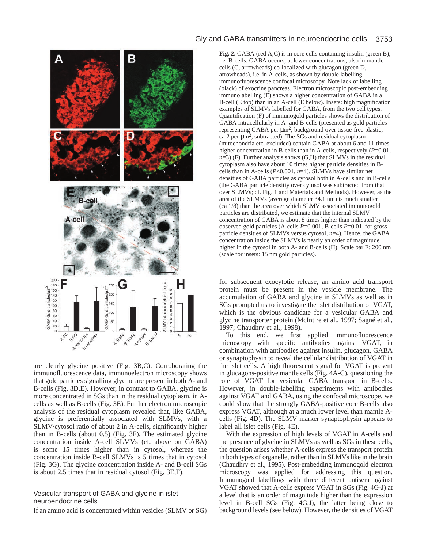

are clearly glycine positive (Fig. 3B,C). Corroborating the immunofluorescence data, immunoelectron microscopy shows that gold particles signalling glycine are present in both A- and B-cells (Fig. 3D,E). However, in contrast to GABA, glycine is more concentrated in SGs than in the residual cytoplasm, in Acells as well as B-cells (Fig. 3E). Further electron microscopic analysis of the residual cytoplasm revealed that, like GABA, glycine is preferentially associated with SLMVs, with a SLMV/cytosol ratio of about 2 in A-cells, significantly higher than in B-cells (about 0.5) (Fig. 3F). The estimated glycine concentration inside A-cell SLMVs (cf. above on GABA) is some 15 times higher than in cytosol, whereas the concentration inside B-cell SLMVs is 5 times that in cytosol (Fig. 3G). The glycine concentration inside A- and B-cell SGs is about 2.5 times that in residual cytosol (Fig. 3E,F).

# Vesicular transport of GABA and glycine in islet neuroendocrine cells

If an amino acid is concentrated within vesicles (SLMV or SG)

# Gly and GABA transmitters in neuroendocrine cells 3753

**Fig. 2.** GABA (red A,C) is in core cells containing insulin (green B), i.e. B-cells. GABA occurs, at lower concentrations, also in mantle cells (C, arrowheads) co-localized with glucagon (green D, arrowheads), i.e. in A-cells, as shown by double labelling immunofluorescence confocal microscopy. Note lack of labelling (black) of exocrine pancreas. Electron microscopic post-embedding immunolabelling (E) shows a higher concentration of GABA in a B-cell (E top) than in an A-cell (E below). Insets: high magnification examples of SLMVs labelled for GABA, from the two cell types. Quantification (F) of immunogold particles shows the distribution of GABA intracellularly in A- and B-cells (presented as gold particles representing GABA per µm2; background over tissue-free plastic, ca 2 per  $\mu$ m<sup>2</sup>, subtracted). The SGs and residual cytoplasm (mitochondria etc. excluded) contain GABA at about 6 and 11 times higher concentration in B-cells than in A-cells, respectively (*P*=0.01,  $n=3$ ) (F). Further analysis shows (G,H) that SLMVs in the residual cytoplasm also have about 10 times higher particle densities in Bcells than in A-cells (*P*<0.001, *n*=4). SLMVs have similar net densities of GABA particles as cytosol both in A-cells and in B-cells (the GABA particle densitiy over cytosol was subtracted from that over SLMVs; cf. Fig. 1 and Materials and Methods). However, as the area of the SLMVs (average diameter 34.1 nm) is much smaller (ca 1/8) than the area over which SLMV associated immunogold particles are distributed, we estimate that the internal SLMV concentration of GABA is about 8 times higher than indicated by the observed gold particles (A-cells *P*=0.001, B-cells *P*=0.01, for gross particle densities of SLMVs versus cytosol, *n*=4). Hence, the GABA concentration inside the SLMVs is nearly an order of magnitude higher in the cytosol in both A- and B-cells (H). Scale bar E: 200 nm (scale for insets: 15 nm gold particles).

for subsequent exocytotic release, an amino acid transport protein must be present in the vesicle membrane. The accumulation of GABA and glycine in SLMVs as well as in SGs prompted us to investigate the islet distribution of VGAT, which is the obvious candidate for a vesicular GABA and glycine transporter protein (McIntire et al., 1997; Sagné et al., 1997; Chaudhry et al., 1998).

To this end, we first applied immunofluorescence microscopy with specific antibodies against VGAT, in combination with antibodies against insulin, glucagon, GABA or synaptophysin to reveal the cellular distribution of VGAT in the islet cells. A high fluorescent signal for VGAT is present in glucagons-positive mantle cells (Fig. 4A-C), questioning the role of VGAT for vesicular GABA transport in B-cells. However, in double-labelling experiments with antibodies against VGAT and GABA, using the confocal microscope, we could show that the strongly GABA-positive core B-cells also express VGAT, although at a much lower level than mantle Acells (Fig. 4D). The SLMV marker synaptophysin appears to label all islet cells (Fig. 4E).

With the expression of high levels of VGAT in A-cells and the presence of glycine in SLMVs as well as SGs in these cells, the question arises whether A-cells express the transport protein in both types of organelle, rather than in SLMVs like in the brain (Chaudhry et al., 1995). Post-embedding immunogold electron microscopy was applied for addressing this question. Immunogold labellings with three different antisera against VGAT showed that A-cells express VGAT in SGs (Fig. 4G-J) at a level that is an order of magnitude higher than the expression level in B-cell SGs (Fig. 4G,J), the latter being close to background levels (see below). However, the densities of VGAT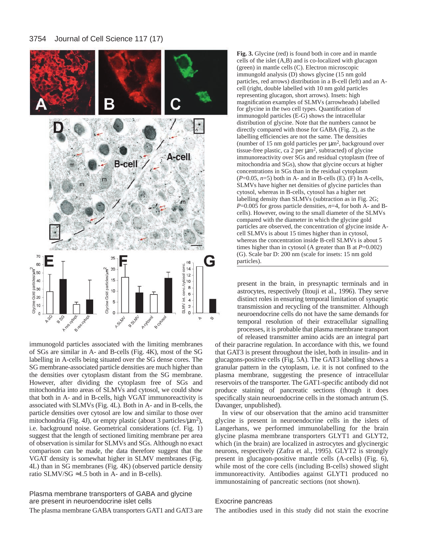

immunogold particles associated with the limiting membranes of SGs are similar in A- and B-cells (Fig. 4K), most of the SG labelling in A-cells being situated over the SG dense cores. The SG membrane-associated particle densities are much higher than the densities over cytoplasm distant from the SG membrane. However, after dividing the cytoplasm free of SGs and mitochondria into areas of SLMVs and cytosol, we could show that both in A- and in B-cells, high VGAT immunoreactivity is associated with SLMVs (Fig. 4L). Both in A- and in B-cells, the particle densities over cytosol are low and similar to those over mitochondria (Fig. 4J), or empty plastic (about 3 particles/ $\mu$ m<sup>2</sup>), i.e. background noise. Geometrical considerations (cf. Fig. 1) suggest that the length of sectioned limiting membrane per area of observation is similar for SLMVs and SGs. Although no exact comparison can be made, the data therefore suggest that the VGAT density is somewhat higher in SLMV membranes (Fig. 4L) than in SG membranes (Fig. 4K) (observed particle density ratio SLMV/SG  $\approx$  1.5 both in A- and in B-cells).

Plasma membrane transporters of GABA and glycine are present in neuroendocrine islet cells The plasma membrane GABA transporters GAT1 and GAT3 are **Fig. 3.** Glycine (red) is found both in core and in mantle cells of the islet (A,B) and is co-localized with glucagon (green) in mantle cells (C). Electron microscopic immungold analysis (D) shows glycine (15 nm gold particles, red arrows) distribution in a B-cell (left) and an Acell (right, double labelled with 10 nm gold particles representing glucagon, short arrows). Insets: high magnification examples of SLMVs (arrowheads) labelled for glycine in the two cell types. Quantification of immunogold particles (E-G) shows the intracellular distribution of glycine. Note that the numbers cannot be directly compared with those for GABA (Fig. 2), as the labelling efficiencies are not the same. The densities (number of 15 nm gold particles per  $\mu$ m<sup>2</sup>, background over tissue-free plastic, ca 2 per µm2, subtracted) of glycine immunoreactivity over SGs and residual cytoplasm (free of mitochondria and SGs), show that glycine occurs at higher concentrations in SGs than in the residual cytoplasm  $(P=0.05, n=5)$  both in A- and in B-cells (E). (F) In A-cells, SLMVs have higher net densities of glycine particles than cytosol, whereas in B-cells, cytosol has a higher net labelling density than SLMVs (subtraction as in Fig. 2G; *P*=0.005 for gross particle densities, *n*=4, for both A- and Bcells). However, owing to the small diameter of the SLMVs compared with the diameter in which the glycine gold particles are observed, the concentration of glycine inside Acell SLMVs is about 15 times higher than in cytosol, whereas the concentration inside B-cell SLMVs is about 5 times higher than in cytosol (A greater than B at  $P=0.002$ ) (G). Scale bar D: 200 nm (scale for insets: 15 nm gold particles).

present in the brain, in presynaptic terminals and in astrocytes, respectively (Itouji et al., 1996). They serve distinct roles in ensuring temporal limitation of synaptic transmission and recycling of the transmitter. Although neuroendocrine cells do not have the same demands for temporal resolution of their extracellular signalling processes, it is probable that plasma membrane transport of released transmitter amino acids are an integral part

of their paracrine regulation. In accordance with this, we found that GAT3 is present throughout the islet, both in insulin- and in glucagons-positive cells (Fig. 5A). The GAT3 labelling shows a granular pattern in the cytoplasm, i.e. it is not confined to the plasma membrane, suggesting the presence of intracellular reservoirs of the transporter. The GAT1-specific antibody did not produce staining of pancreatic sections (though it does specifically stain neuroendocrine cells in the stomach antrum (S. Davanger, unpublished).

In view of our observation that the amino acid transmitter glycine is present in neuroendocrine cells in the islets of Langerhans, we performed immunolabelling for the brain glycine plasma membrane transporters GLYT1 and GLYT2, which (in the brain) are localized in astrocytes and glycinergic neurons, respectively (Zafra et al., 1995). GLYT2 is strongly present in glucagon-positive mantle cells (A-cells) (Fig. 6), while most of the core cells (including B-cells) showed slight immunoreactivity. Antibodies against GLYT1 produced no immunostaining of pancreatic sections (not shown).

# Exocrine pancreas

The antibodies used in this study did not stain the exocrine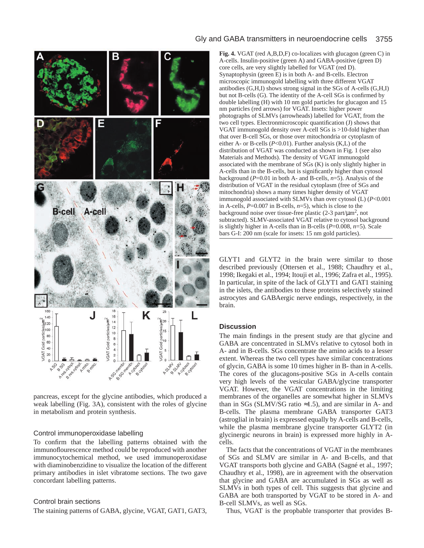

A-cells. Insulin-positive (green A) and GABA-positive (green D) core cells, are very slightly labelled for VGAT (red D). Synaptophysin (green E) is in both A- and B-cells. Electron microscopic immunogold labelling with three different VGAT antibodies (G,H,I) shows strong signal in the SGs of A-cells (G,H,I) but not B-cells (G). The identity of the A-cell SGs is confirmed by double labelling (H) with 10 nm gold particles for glucagon and 15 nm particles (red arrows) for VGAT. Insets: higher power photographs of SLMVs (arrowheads) labelled for VGAT, from the two cell types. Electronmicroscopic quantification (J) shows that VGAT immunogold density over A-cell SGs is >10-fold higher than that over B-cell SGs, or those over mitochondria or cytoplasm of either A- or B-cells (*P*<0.01). Further analysis (K,L) of the distribution of VGAT was conducted as shown in Fig. 1 (see also Materials and Methods). The density of VGAT immunogold associated with the membrane of SGs (K) is only slightly higher in A-cells than in the B-cells, but is significantly higher than cytosol background (*P*=0.01 in both A- and B-cells, *n*=5). Analysis of the distribution of VGAT in the residual cytoplasm (free of SGs and mitochondria) shows a many times higher density of VGAT immunogold associated with SLMVs than over cytosol (L) (*P*<0.001 in A-cells, *P*=0.007 in B-cells, *n*=5), which is close to the background noise over tissue-free plastic  $(2-3$  part/ $\mu$ m<sup>2</sup>, not subtracted). SLMV-associated VGAT relative to cytosol background is slightly higher in A-cells than in B-cells (*P*=0.008, *n*=5). Scale bars G-I: 200 nm (scale for insets: 15 nm gold particles).

Gly and GABA transmitters in neuroendocrine cells 3755

**Fig. 4.** VGAT (red A,B,D,F) co-localizes with glucagon (green C) in

GLYT1 and GLYT2 in the brain were similar to those described previously (Ottersen et al., 1988; Chaudhry et al., 1998; Ikegaki et al., 1994; Itouji et al., 1996; Zafra et al., 1995). In particular, in spite of the lack of GLYT1 and GAT1 staining in the islets, the antibodies to these proteins selectively stained astrocytes and GABAergic nerve endings, respectively, in the brain.

# **Discussion**

The main findings in the present study are that glycine and GABA are concentrated in SLMVs relative to cytosol both in A- and in B-cells. SGs concentrate the amino acids to a lesser extent. Whereas the two cell types have similar concentrations of glycin, GABA is some 10 times higher in B- than in A-cells. The cores of the glucagons-positive SGs in A-cells contain very high levels of the vesicular GABA/glycine transporter VGAT. However, the VGAT concentrations in the limiting membranes of the organelles are somewhat higher in SLMVs than in SGs (SLMV/SG ratio  $\approx$ 1.5), and are similar in A- and B-cells. The plasma membrane GABA transporter GAT3 (astroglial in brain) is expressed equally by A-cells and B-cells, while the plasma membrane glycine transporter GLYT2 (in glycinergic neurons in brain) is expressed more highly in Acells.

The facts that the concentrations of VGAT in the membranes of SGs and SLMV are similar in A- and B-cells, and that VGAT transports both glycine and GABA (Sagné et al., 1997; Chaudhry et al., 1998), are in agreement with the observation that glycine and GABA are accumulated in SGs as well as SLMVs in both types of cell. This suggests that glycine and GABA are both transported by VGAT to be stored in A- and B-cell SLMVs, as well as SGs.

Thus, VGAT is the propbable transporter that provides B-

pancreas, except for the glycine antibodies, which produced a weak labelling (Fig. 3A), consistent with the roles of glycine in metabolism and protein synthesis.

# Control immunoperoxidase labelling

To confirm that the labelling patterns obtained with the immunoflourescence method could be reproduced with another immunocytochemical method, we used immunoperoxidase with diaminobenzidine to visualize the location of the different primary antibodies in islet vibratome sections. The two gave concordant labelling patterns.

# Control brain sections

The staining patterns of GABA, glycine, VGAT, GAT1, GAT3,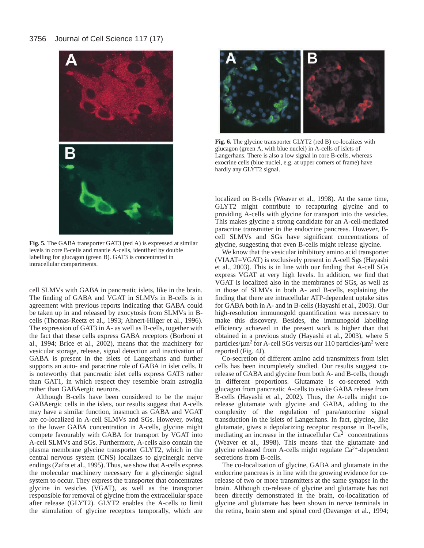

**Fig. 5.** The GABA transporter GAT3 (red A) is expressed at similar levels in core B-cells and mantle A-cells, identified by double labelling for glucagon (green B). GAT3 is concentrated in intracellular compartments.

cell SLMVs with GABA in pancreatic islets, like in the brain. The finding of GABA and VGAT in SLMVs in B-cells is in agreement with previous reports indicating that GABA could be taken up in and released by exocytosis from SLMVs in Bcells (Thomas-Reetz et al., 1993; Ahnert-Hilger et al., 1996). The expression of GAT3 in A- as well as B-cells, together with the fact that these cells express GABA receptors (Borboni et al., 1994; Brice et al., 2002), means that the machinery for vesicular storage, release, signal detection and inactivation of GABA is present in the islets of Langerhans and further supports an auto- and paracrine role of GABA in islet cells. It is noteworthy that pancreatic islet cells express GAT3 rather than GAT1, in which respect they resemble brain astroglia rather than GABAergic neurons.

Although B-cells have been considered to be the major GABAergic cells in the islets, our results suggest that A-cells may have a similar function, inasmuch as GABA and VGAT are co-localized in A-cell SLMVs and SGs. However, owing to the lower GABA concentration in A-cells, glycine might compete favourably with GABA for transport by VGAT into A-cell SLMVs and SGs. Furthermore, A-cells also contain the plasma membrane glycine transporter GLYT2, which in the central nervous system (CNS) localizes to glycinergic nerve endings (Zafra et al., 1995). Thus, we show that A-cells express the molecular machinery necessary for a glycinergic signal system to occur. They express the transporter that concentrates glycine in vesicles (VGAT), as well as the transporter responsible for removal of glycine from the extracellular space after release (GLYT2). GLYT2 enables the A-cells to limit the stimulation of glycine receptors temporally, which are



**Fig. 6.** The glycine transporter GLYT2 (red B) co-localizes with glucagon (green A, with blue nuclei) in A-cells of islets of Langerhans. There is also a low signal in core B-cells, whereas exocrine cells (blue nuclei, e.g. at upper corners of frame) have hardly any GLYT2 signal.

localized on B-cells (Weaver et al., 1998). At the same time, GLYT2 might contribute to recapturing glycine and to providing A-cells with glycine for transport into the vesicles. This makes glycine a strong candidate for an A-cell-mediated paracrine transmitter in the endocrine pancreas. However, Bcell SLMVs and SGs have significant concentrations of glycine, suggesting that even B-cells might release glycine.

We know that the vesicular inhibitory amino acid transporter (VIAAT=VGAT) is exclusively present in A-cell Sgs (Hayashi et al., 2003). This is in line with our finding that A-cell SGs express VGAT at very high levels. In addition, we find that VGAT is localized also in the membranes of SGs, as well as in those of SLMVs in both A- and B-cells, explaining the finding that there are intracellular ATP-dependent uptake sites for GABA both in A- and in B-cells (Hayashi et al., 2003). Our high-resolution immunogold quantification was necessary to make this discovery. Besides, the immunogold labelling efficiency achieved in the present work is higher than that obtained in a previous study (Hayashi et al., 2003), where 5 particles/ $\mu$ m<sup>2</sup> for A-cell SGs versus our 110 particles/ $\mu$ m<sup>2</sup> were reported (Fig. 4J).

Co-secretion of different amino acid transmitters from islet cells has been incompletely studied. Our results suggest corelease of GABA and glycine from both A- and B-cells, though in different proportions. Glutamate is co-secreted with glucagon from pancreatic A-cells to evoke GABA release from B-cells (Hayashi et al., 2002). Thus, the A-cells might corelease glutamate with glycine and GABA, adding to the complexity of the regulation of para/autocrine signal transduction in the islets of Langerhans. In fact, glycine, like glutamate, gives a depolarizing receptor response in B-cells, mediating an increase in the intracellular  $Ca<sup>2+</sup>$  concentrations (Weaver et al., 1998). This means that the glutamate and glycine released from A-cells might regulate Ca2+-dependent secretions from B-cells.

The co-localization of glycine, GABA and glutamate in the endocrine pancreas is in line with the growing evidence for corelease of two or more transmitters at the same synapse in the brain. Although co-release of glycine and glutamate has not been directly demonstrated in the brain, co-localization of glycine and glutamate has been shown in nerve terminals in the retina, brain stem and spinal cord (Davanger et al., 1994;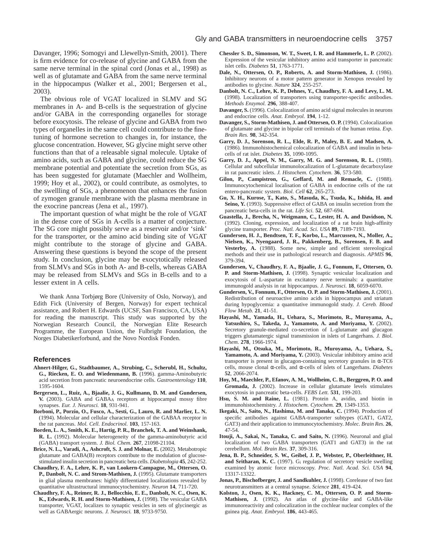Davanger, 1996; Somogyi and Llewellyn-Smith, 2001). There is firm evidence for co-release of glycine and GABA from the same nerve terminal in the spinal cord (Jonas et al., 1998) as well as of glutamate and GABA from the same nerve terminal in the hippocampus (Walker et al., 2001; Bergersen et al., 2003).

The obvious role of VGAT localized in SLMV and SG membranes in A- and B-cells is the sequestration of glycine and/or GABA in the corresponding organelles for storage before exocytosis. The release of glycine and GABA from two types of organelles in the same cell could contribute to the finetuning of hormone secretion to changes in, for instance, the glucose concentration. However, SG glycine might serve other functions than that of a releasable signal molecule. Uptake of amino acids, such as GABA and glycine, could reduce the SG membrane potential and potentiate the secretion from SGs, as has been suggested for glutamate (Maechler and Wollheim, 1999; Hoy et al., 2002), or could contribute, as osmolytes, to the swellling of SGs, a phenomenon that enhances the fusion of zymogen granule membrane with the plasma membrane in the exocrine pancreas (Jena et al., 1997).

The important question of what might be the role of VGAT in the dense core of SGs in A-cells is a matter of conjecture. The SG core might possibly serve as a reservoir and/or 'sink' for the transporter, or the amino acid binding site of VGAT might contribute to the storage of glycine and GABA. Answering these questions is beyond the scope of the present study. In conclusion, glycine may be exocytotically released from SLMVs and SGs in both A- and B-cells, whereas GABA may be released from SLMVs and SGs in B-cells and to a lesser extent in A cells.

We thank Anna Torbjørg Bore (University of Oslo, Norway), and Edith Fick (University of Bergen, Norway) for expert technical assistance, and Robert H. Edwards (UCSF, San Francisco, CA, USA) for reading the manuscript. This study was supported by the Norwegian Research Council, the Norwegian Elite Research Programme, the European Union, the Fulbright Foundation, the Norges Diabetikerforbund, and the Novo Nordisk Fonden.

#### **References**

- **Ahnert-Hilger, G., Stadtbaumer, A., Strubing, C., Scherubl, H., Schultz, G., Riecken, E. O. and Wiedenmann, B.** (1996). gamma-Aminobutyric acid secretion from pancreatic neuroendocrine cells. *Gastroenterology* **110**, 1595-1604.
- **Bergersen, L., Ruiz, A., Bjaalie, J. G., Kullmann, D. M. and Gundersen, V.** (2003). GABA and GABAA receptors at hippocampal mossy fibre synapses. *Eur. J. Neurosci.* **18**, 931-941.
- **Borboni, P., Porzio, O., Fusco, A., Sesti, G., Lauro, R. and Marlier, L. N.** (1994). Molecular and cellular characterization of the GABAA receptor in the rat pancreas. *Mol. Cell. Endocrinol.* **103**, 157-163.
- **Borden, L. A., Smith, K. E., Hartig, P. R., Branchek, T. A. and Weinshank, R. L.** (1992). Molecular heterogeneity of the gamma-aminobutyric acid (GABA) transport system. *J. Biol. Chem.* **267**, 21098-21104.
- **Brice, N. L., Varadi, A., Ashcroft, S. J. and Molnar, E.** (2002). Metabotropic glutamate and GABA(B) receptors contribute to the modulation of glucosestimulated insulin secretion in pancreatic beta cells. *Diabetologia* **45**, 242-252.
- **Chaudhry, F. A., Lehre, K. P., van Lookern-Campagne, M., Ottersen, O. P., Danbolt, N. C. and Strom-Mathisen, J.** (1995). Glutamate transporters in glial plasma membranes: highly diffeentiated localizations revealed by quantitative ultrastructural immunocytochemistry. *Neuron* **14**, 711-720.
- **Chaudhry, F. A., Reimer, R. J., Bellocchio, E. E., Danbolt, N. C., Osen, K. K., Edwards, R. H. and Storm-Mathisen, J.** (1998). The vesicular GABA transporter, VGAT, localizes to synaptic vesicles in sets of glycinergic as well as GABAergic neurons. *J. Neurosci.* **18**, 9733-9750.
- **Chessler S. D., Simonson, W. T., Sweet, I. R. and Hammerle, L. P.** (2002). Expression of the vesicular inhibitory amino acid transporter in pancreatic islet cells. *Diabetes* **51**, 1763-1771.
- **Dale, N., Ottersen, O. P., Roberts, A. and Storm-Mathisen, J.** (1986). Inhibitory neurons of a motor pattern generator in Xenopus revealed by antibodies to glycine. *Nature* **324**, 255-257.
- **Danbolt, N. C., Lehre, K. P., Dehnes, Y., Chaudhry, F. A. and Levy, L. M.** (1998). Localization of transporters using transporter-specific antibodies. *Methods Enzymol.* **296**, 388-407.
- **Davanger, S.** (1996). Colocalization of amino acid signal molecules in neurons and endocrine cells. *Anat. Embryol.* **194**, 1-12.
- Davanger, S., Storm-Mathisen, J. and Ottersen, O. P. (1994). Colocalization of glutamate and glycine in bipolar cell terminals of the human retina. *Exp. Brain Res.* **98**, 342-354.
- **Garry, D. J., Sorenson, R. L., Elde, R. P., Maley, B. E. and Madsen, A.** (1986). Immunohistochemical colocalization of GABA and insulin in betacells of rat islet. *Diabetes* **35**, 1090-1095.
- **Garry, D. J., Appel, N. M., Garry, M. G. and Sorenson, R. L.** (1988). Cellular and subcellular immunolocalization of L-glutamate decarboxylase in rat pancreatic islets. *J. Histochem. Cytochem.* **36**, 573-580.
- **Gilon, P., Campistron, G., Geffard, M. and Remacle, C.** (1988). Immunocytochemical localisation of GABA in endocrine cells of the rat entero-pancreatic system. *Biol. Cell* **62**, 265-273.
- **Gu, X. H., Kurose, T., Kato, S., Masuda, K., Tsuda, K., Ishida, H. and** Seino, Y. (1993). Suppressive effect of GABA on insulin secretion from the pancreatic beta-cells in the rat. *Life Sci.* **52**, 687-694.
- **Guastella, J., Brecha, N., Weigmann, C., Lester, H. A. and Davidson, N.** (1992). Cloning, expression, and localization of a rat brain high-affinity glycine transporter. *Proc. Natl. Acad. Sci. USA* **89**, 7189-7193.
- **Gundersen, H. J., Bendtsen, T. F., Korbo, L., Marcussen, N., Moller, A., Nielsen, K., Nyengaard, J. R., Pakkenberg, B., Sorensen, F. B. and** Vesterby, A. (1988). Some new, simple and efficient stereological methods and their use in pathological research and diagnosis. *APMIS* **96**, 379-394.
- **Gundersen, V., Chaudhry, F. A., Bjaalie, J. G., Fonnum, F., Ottersen, O. P. and Storm-Mathisen, J.** (1998). Synaptic vesicular localization and exocytosis of L-aspartate in excitatory nerve terminals: a quantitative immunogold analysis in rat hippocampus. *J. Neurosci.* **18**, 6059-6070.
- Gundersen, V., Fonnum, F., Ottersen, O. P. and Storm-Mathisen, J. (2001). Redistribution of neuroactive amino acids in hippocampus and striatum during hypoglycemia: a quantitative immunogold study. *J. Cereb. Blood Flow Metab.* **21**, 41-51.
- **Hayashi, M., Yamada, H., Uehara, S., Morimoto, R., Muroyama, A., Yatsushiro, S., Takeda, J., Yamamoto, A. and Moriyama, Y.** (2002). Secretory granule-mediated co-secretion of L-glutamate and glucagon triggers glutamatergic signal transmission in islets of Langerhans. *J. Biol. Chem.* **278**, 1966-1974.
- **Hayashi, M., Otsuka, M., Morimoto, R., Muroyama, A., Uehara, S., Yamamoto, A. and Moriyama, Y.** (2003). Vesicular inhibitory amino acid transporter is present in glucagon-containing secretory granules in α-TC6 cells, mouse clonal α-cells, and α-cells of islets of Langerhans. *Diabetes* **52**, 2066-2074.
- **Hoy, M., Maechler, P., Efanov, A. M., Wollheim, C. B., Berggren, P. O. and Gromada, J.** (2002). Increase in cellular glutamate levels stimulates exocytosis in pancreatic beta-cells. *FEBS Lett.* **531**, 199-203.
- **Hsu, S. M. and Raine, L.** (1981). Protein A, avidin, and biotin in immunohistochemistry. *J. Histochem. Cytochem.* **29**, 1349-1353.
- **Ikegaki, N., Saito, N., Hashima, M. and Tanaka, C.** (1994). Production of specific antibodies against GABA-transporter subtypes (GAT1, GAT2, GAT3) and their application to immunocytochemistry. *Molec. Brain Res.* **26**, 47-54.
- **Itouji, A., Sakai, N., Tanaka, C. and Saito, N.** (1996). Neuronal and glial localization of two GABA transporters (GAT1 and GAT3) in the rat cerebellum. *Mol. Brain Res.* **37**, 309-316.
- **Jena, B. P., Schneider, S. W., Geibel, J. P., Webster, P., Oberleithner, H. and Sritharan, K. C.** (1997). Gi regulation of secretory vesicle swelling examined by atomic force microscopy. *Proc. Natl. Acad. Sci. USA* **94**, 13317-13322.
- Jonas, P., Bischofberger, J. and Sandkuhler, J. (1998). Corelease of two fast neurotransmitters at a central synapse. *Science* **281**, 419-424.
- **Kolston, J., Osen, K. K., Hackney, C. M., Ottersen, O. P. and Storm-Mathisen, J.** (1992). An atlas of glycine-like and GABA-like immunoreactivity and colocalization in the cochlear nuclear complex of the guinea pig. *Anat. Embryol.* **186**, 443-465.